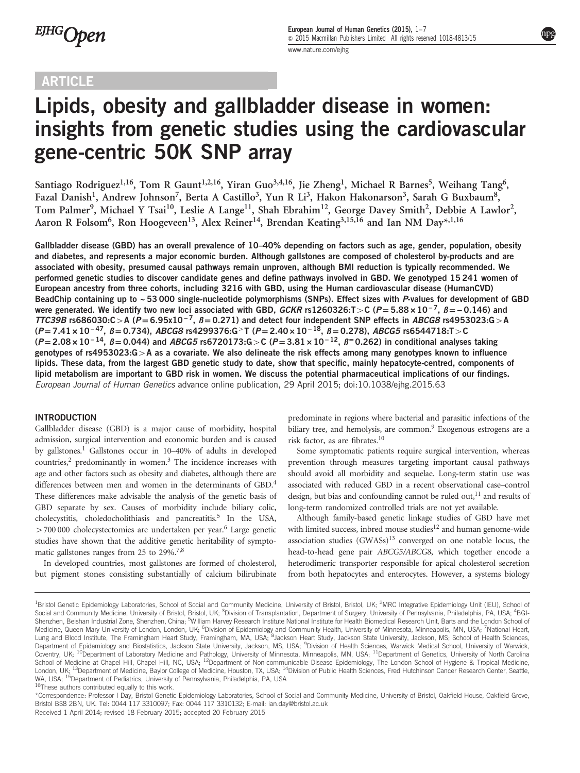**EJHG**Open

# ARTICLE

Lipids, obesity and gallbladder disease in women: insights from genetic studies using the cardiovascular gene-centric 50K SNP array

Santiago Rodriguez<sup>1,16</sup>, Tom R Gaunt<sup>1,2,16</sup>, Yiran Guo<sup>3,4,16</sup>, Jie Zheng<sup>1</sup>, Michael R Barnes<sup>5</sup>, Weihang Tang<sup>6</sup>, Fazal Danish<sup>1</sup>, Andrew Johnson<sup>7</sup>, Berta A Castillo<sup>3</sup>, Yun R Li<sup>3</sup>, Hakon Hakonarson<sup>3</sup>, Sarah G Buxbaum<sup>8</sup>, Tom Palmer<sup>9</sup>, Michael Y Tsai<sup>10</sup>, Leslie A Lange<sup>11</sup>, Shah Ebrahim<sup>12</sup>, George Davey Smith<sup>2</sup>, Debbie A Lawlor<sup>2</sup>, Aaron R Folsom<sup>6</sup>, Ron Hoogeveen<sup>13</sup>, Alex Reiner<sup>14</sup>, Brendan Keating<sup>3,15,16</sup> and Ian NM Day<sup>\*,1,16</sup>

Gallbladder disease (GBD) has an overall prevalence of 10–40% depending on factors such as age, gender, population, obesity and diabetes, and represents a major economic burden. Although gallstones are composed of cholesterol by-products and are associated with obesity, presumed causal pathways remain unproven, although BMI reduction is typically recommended. We performed genetic studies to discover candidate genes and define pathways involved in GBD. We genotyped 15 241 women of European ancestry from three cohorts, including 3216 with GBD, using the Human cardiovascular disease (HumanCVD) BeadChip containing up to ~ 53 000 single-nucleotide polymorphisms (SNPs). Effect sizes with P-values for development of GBD were generated. We identify two new loci associated with GBD, GCKR rs1260326:T>C (P=5.88 × 10<sup>-7</sup>, ß= − 0.146) and TTC39B rs686030:C > A (P = 6.95x10<sup>-7</sup>,  $B = 0.271$ ) and detect four independent SNP effects in ABCG8 rs4953023:G > A (P= 7.4 $1\times10^{-47}$ ,  $\beta$  = 0.734), ABCG8 rs4299376:G $^>$ T (P= 2.40 $\times10^{-18}$ ,  $\beta$  = 0.278), ABCG5 rs65447 $18$ :T $>$ C (P = 2.08 × 10<sup>-14</sup>, B = 0.044) and ABCG5 rs6720173:G > C (P = 3.81 × 10<sup>-12</sup>, B<sup>=</sup> 0.262) in conditional analyses taking genotypes of  $rs4953023:G>A$  as a covariate. We also delineate the risk effects among many genotypes known to influence lipids. These data, from the largest GBD genetic study to date, show that specific, mainly hepatocyte-centred, components of lipid metabolism are important to GBD risk in women. We discuss the potential pharmaceutical implications of our findings. European Journal of Human Genetics advance online publication, 29 April 2015; doi[:10.1038/ejhg.2015.63](http://dx.doi.org/10.1038/ejhg.2015.63)

### **INTRODUCTION**

Gallbladder disease (GBD) is a major cause of morbidity, hospital admission, surgical intervention and economic burden and is caused by gallstones.<sup>1</sup> Gallstones occur in 10–40% of adults in developed countries,<sup>2</sup> predominantly in women.<sup>3</sup> The incidence increases with age and other factors such as obesity and diabetes, although there are differences between men and women in the determinants of GBD.<sup>4</sup> These differences make advisable the analysis of the genetic basis of GBD separate by sex. Causes of morbidity include biliary colic, cholecystitis, choledocholithiasis and pancreatitis.<sup>5</sup> In the USA, 4700 000 cholecystectomies are undertaken per year.6 Large genetic studies have shown that the additive genetic heritability of symptomatic gallstones ranges from 25 to 29%.7,8

In developed countries, most gallstones are formed of cholesterol, but pigment stones consisting substantially of calcium bilirubinate

predominate in regions where bacterial and parasitic infections of the biliary tree, and hemolysis, are common.<sup>9</sup> Exogenous estrogens are a risk factor, as are fibrates.10

Some symptomatic patients require surgical intervention, whereas prevention through measures targeting important causal pathways should avoid all morbidity and sequelae. Long-term statin use was associated with reduced GBD in a recent observational case–control design, but bias and confounding cannot be ruled out, $^{11}$  and results of long-term randomized controlled trials are not yet available.

Although family-based genetic linkage studies of GBD have met with limited success, inbred mouse studies<sup>12</sup> and human genome-wide association studies (GWASs)<sup>13</sup> converged on one notable locus, the head-to-head gene pair ABCG5/ABCG8, which together encode a heterodimeric transporter responsible for apical cholesterol secretion from both hepatocytes and enterocytes. However, a systems biology

<sup>16</sup>These authors contributed equally to this work.

\*Correspondence: Professor I Day, Bristol Genetic Epidemiology Laboratories, School of Social and Community Medicine, University of Bristol, Oakfield House, Oakfield Grove, Bristol BS8 2BN, UK. Tel: 0044 117 3310097; Fax: 0044 117 3310132; E-mail: [ian.day@bristol.ac.uk](mailto:ian.day@bristol.ac.uk)

Received 1 April 2014; revised 18 February 2015; accepted 20 February 2015

<sup>&</sup>lt;sup>1</sup>Bristol Genetic Epidemiology Laboratories, School of Social and Community Medicine, University of Bristol, Bristol, UK; <sup>2</sup>MRC Integrative Epidemiology Unit (IEU), School of Social and Community Medicine, University of Bristol, Bristol, UK; <sup>3</sup>Division of Transplantation, Department of Surgery, University of Pennsylvania, Philadelphia, PA, USA; <sup>4</sup>BGI-Shenzhen, Beishan Industrial Zone, Shenzhen, China; <sup>5</sup>William Harvey Research Institute National Institute for Health Biomedical Research Unit, Barts and the London School of Medicine, Queen Mary University of London, London, UK; <sup>6</sup>Division of Epidemiology and Community Health, University of Minnesota, Minneapolis, MN, USA; <sup>7</sup>National Heart,<br>Lung and Blood Institute, The Framingham Heart Stud Department of Epidemiology and Biostatistics, Jackson State University, Jackson, MS, USA; <sup>9</sup>Division of Health Sciences, Warwick Medical School, University of Warwick,<br>Coventry, UK; <sup>10</sup>Department of Laboratory Medicine a School of Medicine at Chapel Hill, Chapel Hill, NC, USA; <sup>12</sup>Department of Non-communicable Disease Epidemiology, The London School of Hygiene & Tropical Medicine, London, UK; <sup>13</sup>Department of Medicine, Baylor College of Medicine, Houston, TX, USA; <sup>14</sup>Division of Public Health Sciences, Fred Hutchinson Cancer Research Center, Seattle, WA, USA; <sup>15</sup>Department of Pediatrics, University of Pennsylvania, Philadelphia, PA, USA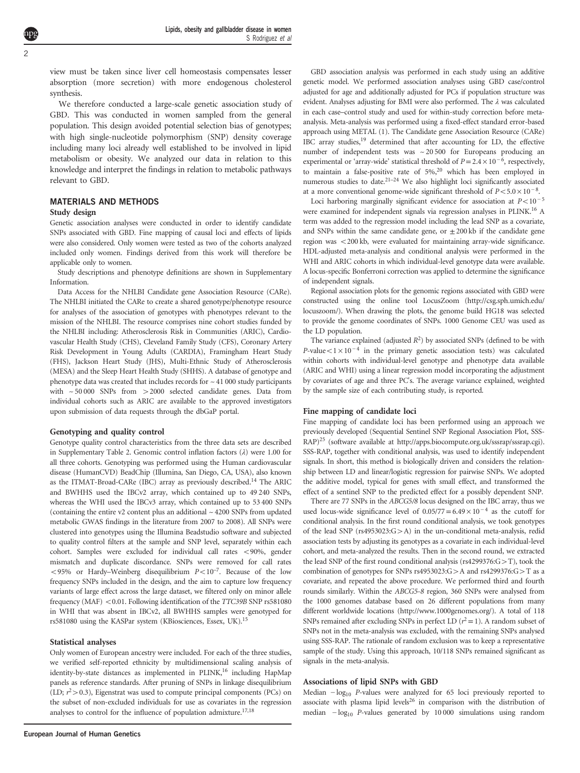view must be taken since liver cell homeostasis compensates lesser absorption (more secretion) with more endogenous cholesterol synthesis.

We therefore conducted a large-scale genetic association study of GBD. This was conducted in women sampled from the general population. This design avoided potential selection bias of genotypes; with high single-nucleotide polymorphism (SNP) density coverage including many loci already well established to be involved in lipid metabolism or obesity. We analyzed our data in relation to this knowledge and interpret the findings in relation to metabolic pathways relevant to GBD.

### MATERIALS AND METHODS

# Study design

Genetic association analyses were conducted in order to identify candidate SNPs associated with GBD. Fine mapping of causal loci and effects of lipids were also considered. Only women were tested as two of the cohorts analyzed included only women. Findings derived from this work will therefore be applicable only to women.

Study descriptions and phenotype definitions are shown in Supplementary Information.

Data Access for the NHLBI Candidate gene Association Resource (CARe). The NHLBI initiated the CARe to create a shared genotype/phenotype resource for analyses of the association of genotypes with phenotypes relevant to the mission of the NHLBI. The resource comprises nine cohort studies funded by the NHLBI including: Atherosclerosis Risk in Communities (ARIC), Cardiovascular Health Study (CHS), Cleveland Family Study (CFS), Coronary Artery Risk Development in Young Adults (CARDIA), Framingham Heart Study (FHS), Jackson Heart Study (JHS), Multi-Ethnic Study of Atherosclerosis (MESA) and the Sleep Heart Health Study (SHHS). A database of genotype and phenotype data was created that includes records for  $\sim$  41 000 study participants with  $\sim 50000$  SNPs from  $>2000$  selected candidate genes. Data from individual cohorts such as ARIC are available to the approved investigators upon submission of data requests through the dbGaP portal.

#### Genotyping and quality control

Genotype quality control characteristics from the three data sets are described in Supplementary Table 2. Genomic control inflation factors (λ) were 1.00 for all three cohorts. Genotyping was performed using the Human cardiovascular disease (HumanCVD) BeadChip (Illumina, San Diego, CA, USA), also known as the ITMAT-Broad-CARe (IBC) array as previously described.14 The ARIC and BWHHS used the IBCv2 array, which contained up to 49 240 SNPs, whereas the WHI used the IBCv3 array, which contained up to 53 400 SNPs (containing the entire v2 content plus an additional  $\sim$  4200 SNPs from updated metabolic GWAS findings in the literature from 2007 to 2008). All SNPs were clustered into genotypes using the Illumina Beadstudio software and subjected to quality control filters at the sample and SNP level, separately within each cohort. Samples were excluded for individual call rates  $\langle 90\% ,$  gender mismatch and duplicate discordance. SNPs were removed for call rates  $<95\%$  or Hardy–Weinberg disequilibrium  $P<10^{-7}$ . Because of the low frequency SNPs included in the design, and the aim to capture low frequency variants of large effect across the large dataset, we filtered only on minor allele frequency (MAF) < 0.01. Following identification of the TTC39B SNP rs581080 in WHI that was absent in IBCv2, all BWHHS samples were genotyped for rs581080 using the KASPar system (KBiosciences, Essex, UK).15

#### Statistical analyses

Only women of European ancestry were included. For each of the three studies, we verified self-reported ethnicity by multidimensional scaling analysis of identity-by-state distances as implemented in PLINK,<sup>16</sup> including HapMap panels as reference standards. After pruning of SNPs in linkage disequilibrium (LD;  $r^2$  > 0.3), Eigenstrat was used to compute principal components (PCs) on the subset of non-excluded individuals for use as covariates in the regression analyses to control for the influence of population admixture.<sup>17,18</sup>

GBD association analysis was performed in each study using an additive genetic model. We performed association analyses using GBD case/control adjusted for age and additionally adjusted for PCs if population structure was evident. Analyses adjusting for BMI were also performed. The λ was calculated in each case–control study and used for within-study correction before metaanalysis. Meta-analysis was performed using a fixed-effect standard error-based approach using METAL (1). The Candidate gene Association Resource (CARe) IBC array studies,19 determined that after accounting for LD, the effective number of independent tests was  $\sim$  20 500 for Europeans producing an experimental or 'array-wide' statistical threshold of  $P = 2.4 \times 10^{-6}$ , respectively, to maintain a false-positive rate of 5%,20 which has been employed in numerous studies to date.<sup>21-24</sup> We also highlight loci significantly associated mumber or independent tests was  $\sim$  20 500 for Europeans producing a experimental or 'array-wide' statistical threshold of  $P = 2.4 \times 10^{-6}$ , respectivel to maintain a false-positive rate of 5%,<sup>20</sup> which has been employe Definemental or array-wide statistical threshold of  $P = 2.4 \times 10^{-6}$ , respectively, maintain a false-positive rate of 5%,<sup>20</sup> which has been employed in merous studies to date.<sup>21-24</sup> We also highlight loci significantly

were examined for independent signals via regression analyses in PLINK.16 A term was added to the regression model including the lead SNP as a covariate, and SNPs within the same candidate gene, or  $\pm 200$  kb if the candidate gene region was <200 kb, were evaluated for maintaining array-wide significance. HDL-adjusted meta-analysis and conditional analysis were performed in the WHI and ARIC cohorts in which individual-level genotype data were available. A locus-specific Bonferroni correction was applied to determine the significance of independent signals.

Regional association plots for the genomic regions associated with GBD were constructed using the online tool LocusZoom [\(http://csg.sph.umich.edu/](http://csg.sph.umich.edu/locuszoom/) [locuszoom/](http://csg.sph.umich.edu/locuszoom/)). When drawing the plots, the genome build HG18 was selected to provide the genome coordinates of SNPs. 1000 Genome CEU was used as<br>the LD population.<br>The variance explained (adjusted  $R^2$ ) by associated SNPs (defined to be with<br>*P*-value <  $1 \times 10^{-4}$  in the primary genetic assoc the LD population.

The variance explained (adjusted  $R^2$ ) by associated SNPs (defined to be with within cohorts with individual-level genotype and phenotype data available (ARIC and WHI) using a linear regression model incorporating the adjustment by covariates of age and three PC's. The average variance explained, weighted by the sample size of each contributing study, is reported.

#### Fine mapping of candidate loci

Fine mapping of candidate loci has been performed using an approach we previously developed (Sequential Sentinel SNP Regional Association Plot, SSS-RAP)25 (software available at [http://apps.biocompute.org.uk/sssrap/sssrap.cgi\)](http://apps.biocompute.org.uk/sssrap/sssrap.cgi). SSS-RAP, together with conditional analysis, was used to identify independent signals. In short, this method is biologically driven and considers the relationship between LD and linear/logistic regression for pairwise SNPs. We adopted the additive model, typical for genes with small effect, and transformed the effect of a sentinel SNP to the predicted effect for a possibly dependent SNP.

There are 77 SNPs in the ABCG5/8 locus designed on the IBC array, thus we used locus-wide significance level of  $0.05/77=6.49 \times 10^{-4}$  as the cutoff for conditional analysis. In the first round conditional analysis, we took genotypes of the lead SNP ( $rs4953023:G>A$ ) in the un-conditional meta-analysis, redid association tests by adjusting its genotypes as a covariate in each individual-level cohort, and meta-analyzed the results. Then in the second round, we extracted the lead SNP of the first round conditional analysis ( $rs4299376:G>T$ ), took the combination of genotypes for SNPs rs4953023: $G$  > A and rs4299376: $G$  > T as a covariate, and repeated the above procedure. We performed third and fourth rounds similarly. Within the ABCG5-8 region, 360 SNPs were analysed from the 1000 genomes database based on 26 different populations from many different worldwide locations [\(http://www.1000genomes.org/](http://www.1000genomes.org/)). A total of 118 SNPs remained after excluding SNPs in perfect LD  $(r^2 = 1)$ . A random subset of SNPs not in the meta-analysis was excluded, with the remaining SNPs analysed using SSS-RAP. The rationale of random exclusion was to keep a representative sample of the study. Using this approach, 10/118 SNPs remained significant as signals in the meta-analysis.

#### Associations of lipid SNPs with GBD

Median - log<sub>10</sub> P-values were analyzed for 65 loci previously reported to associate with plasma lipid levels<sup>26</sup> in comparison with the distribution of median <sup>−</sup> log10 <sup>P</sup>-values generated by 10 000 simulations using random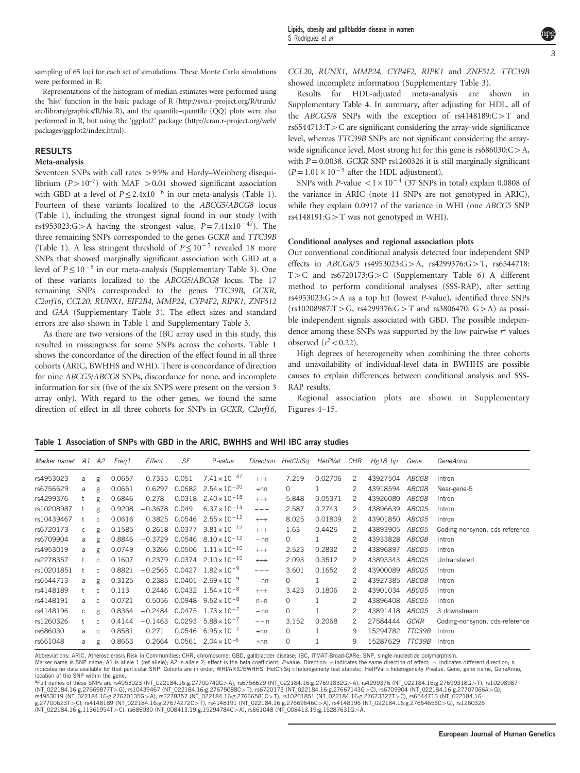<span id="page-2-0"></span>sampling of 65 loci for each set of simulations. These Monte Carlo simulations were performed in R.

Representations of the histogram of median estimates were performed using the 'hist' function in the basic package of R ([http://svn.r-project.org/R/trunk/](http://svn.r-project.org/R/trunk/src/library/graphics/R/hist.R) [src/library/graphics/R/hist.R\)](http://svn.r-project.org/R/trunk/src/library/graphics/R/hist.R), and the quantile–quantile (QQ) plots were also performed in R, but using the 'ggplot2' package [\(http://cran.r-project.org/web/](http://cran.r-project.org/web/packages/ggplot2/index.html) [packages/ggplot2/index.html\)](http://cran.r-project.org/web/packages/ggplot2/index.html).

# RESULTS

# Meta-analysis

Seventeen SNPs with call rates > 95% and Hardy–Weinberg disequilibrium  $(P>10^{-7})$  with MAF  $> 0.01$  showed significant association **RESULTS**<br>Meta-analysis<br>Seventeen SNPs with call rates >95% and Hardy–Weinberg disequi-<br>librium (P>10<sup>-7</sup>) with MAF >0.01 showed significant association<br>with GBD at a level of P≤2.4x10<sup>-6</sup> in our meta-analysis (Table 1). Fourteen of these variants localized to the ABCG5/ABCG8 locus (Table 1), including the strongest signal found in our study (with librium ( $P > 10^{-7}$ ) with MAF > 0.01 showed significant association<br>with GBD at a level of  $P \le 2.4 \times 10^{-6}$  in our meta-analysis (Table 1).<br>Fourteen of these variants localized to the *ABCG5/ABCG8* locus<br>(Table 1), inclu three remaining SNPs corresponded to the genes GCKR and TTC39B Fourteen of these variants localized to the *ABCG5/ABCG8* locus (Table 1), including the strongest signal found in our study (with rs4953023:G > A having the strongest value,  $P = 7.41 \times 10^{-47}$ ). The three remaining SNPs SNPs that showed marginally significant association with GBD at a rs4953023:G>A having the strongest value,  $P=7.41 \times 10^{-4}$ ). The three remaining SNPs corresponded to the genes *GCKR* and *TTC39B* (Table 1). A less stringent threshold of  $P \le 10^{-5}$  revealed 18 more SNPs that showed ma of these variants localized to the ABCG5/ABCG8 locus. The 17 remaining SNPs corresponded to the genes TTC39B, GCKR, C2orf16, CCL20, RUNX1, EIF2B4, MMP24, CYP4F2, RIPK1, ZNF512 and GAA (Supplementary Table 3). The effect sizes and standard errors are also shown in Table 1 and Supplementary Table 3.

As there are two versions of the IBC array used in this study, this resulted in missingness for some SNPs across the cohorts. Table 1 shows the concordance of the direction of the effect found in all three cohorts (ARIC, BWHHS and WHI). There is concordance of direction for nine ABCG5/ABCG8 SNPs, discordance for none, and incomplete information for six (five of the six SNPS were present on the version 3 array only). With regard to the other genes, we found the same direction of effect in all three cohorts for SNPs in GCKR, C2orf16, CCL20, RUNX1, MMP24, CYP4F2, RIPK1 and ZNF512. TTC39B showed incomplete information (Supplementary Table 3).

Results for HDL-adjusted meta-analysis are shown in Supplementary Table 4. In summary, after adjusting for HDL, all of the ABCG5/8 SNPs with the exception of  $rs4148189:C>T$  and  $rs6544713:T>C$  are significant considering the array-wide significance level, whereas TTC39B SNPs are not significant considering the arraywide significance level. Most strong hit for this gene is  $rs686030:C>A$ , with  $P=0.0038$ . GCKR SNP rs1260326 it is still marginally significant F80544/13:1 > C are significant considering the<br>level, whereas *TTC39B* SNPs are not significant wide significance level. Most strong hit for the with  $P = 0.0038$ . *GCKR* SNP rs1260326 it is  $(P = 1.01 \times 10^{-5}$  after the HD SHPs with P-value  $11C39B$  SNPs are not significant considering the array-<br>de significance level. Most strong hit for this gene is rs686030:C > A,<br>th P=0.0038. *GCKR* SNP rs1260326 it is still marginally significant<br>=  $1.$ 

the variance in ARIC (note 11 SNPs are not genotyped in ARIC), while they explain 0.0917 of the variance in WHI (one ABCG5 SNP  $rs4148191:G>T$  was not genotyped in WHI).

# Conditional analyses and regional association plots

Our conventional conditional analysis detected four independent SNP effects in ABCG8/5 rs4953023:G>A, rs4299376:G>T, rs6544718:  $T>C$  and rs6720173: $G>C$  (Supplementary Table 6) A different method to perform conditional analyses (SSS-RAP), after setting  $rs4953023:G>A$  as a top hit (lowest P-value), identified three SNPs  $(rs10208987:T>G, rs4299376:G>T and rs3806470: G>A)$  as possible independent signals associated with GBD. The possible independence among these SNPs was supported by the low pairwise  $r^2$  values observed  $(r^2 < 0.22)$ .

High degrees of heterogeneity when combining the three cohorts and unavailability of individual-level data in BWHHS are possible causes to explain differences between conditional analysis and SSS-RAP results.

Regional association plots are shown in Supplementary Figures 4–15.

|  |  |  | Table 1 Association of SNPs with GBD in the ARIC, BWHHS and WHI IBC array studies |
|--|--|--|-----------------------------------------------------------------------------------|
|  |  |  |                                                                                   |

| Marker name <sup>a</sup> | A1 | A2           | <i>Freq1</i> | Effect    | <b>SE</b> | P-value                | Direction | HetChiSq    | HetPVal | <b>CHR</b>     | $Hg18$ _bp | Gene         | GeneAnno                       |
|--------------------------|----|--------------|--------------|-----------|-----------|------------------------|-----------|-------------|---------|----------------|------------|--------------|--------------------------------|
| rs4953023                | a  | g            | 0.0657       | 0.7335    | 0.051     | $7.41 \times 10^{-47}$ | $^{+++}$  | 7.219       | 0.02706 | 2              | 43927504   | ABCG8        | Intron                         |
| rs6756629                | a  | g            | 0.0651       | 0.6297    | 0.0682    | $2.54 \times 10^{-20}$ | $+nn$     | 0           |         | 2              | 43918594   | <i>ABCG8</i> | Near-gene-5                    |
| rs4299376                |    | g            | 0.6846       | 0.278     | 0.0318    | $2.40 \times 10^{-18}$ | $^{+++}$  | 5.848       | 0.05371 | 2              | 43926080   | <i>ABCG8</i> | Intron                         |
| rs10208987               |    | g            | 0.9208       | $-0.3678$ | 0.049     | $6.37 \times 10^{-14}$ | $---$     | 2.587       | 0.2743  | 2              | 43896639   | ABCG5        | Intron                         |
| rs10439467               |    | C            | 0.0616       | 0.3825    | 0.0546    | $2.55 \times 10^{-12}$ | $^{+++}$  | 8.025       | 0.01809 | 2              | 43901850   | ABCG5        | Intron                         |
| rs6720173                | C  | g            | 0.1585       | 0.2618    | 0.0377    | $3.81 \times 10^{-12}$ | $^{+++}$  | 1.63        | 0.4426  | 2              | 43893905   | ABCG5        | Coding-nonsynon, cds-reference |
| rs6709904                | a  | g            | 0.8846       | $-0.3729$ | 0.0546    | $8.10 \times 10^{-12}$ | $-nn$     | 0           |         | 2              | 43933828   | <i>ABCG8</i> | Intron                         |
| rs4953019                | a  | g            | 0.0749       | 0.3266    | 0.0506    | $1.11 \times 10^{-10}$ | $^{+++}$  | 2.523       | 0.2832  | 2              | 43896897   | ABCG5        | Intron                         |
| rs2278357                |    | C            | 0.1607       | 0.2379    | 0.0374    | $2.10 \times 10^{-10}$ | $^{+++}$  | 2.093       | 0.3512  | 2              | 43893343   | ABCG5        | Untranslated                   |
| rs10201851               |    | C            | 0.8821       | $-0.2565$ | 0.0427    | $1.82 \times 10^{-9}$  | $---$     | 3.601       | 0.1652  | 2              | 43900089   | ABCG5        | Intron                         |
| rs6544713                | a  | g            | 0.3125       | $-0.2385$ | 0.0401    | $2.69 \times 10^{-9}$  | $-nn$     | 0           |         | 2              | 43927385   | ABCG8        | Intron                         |
| rs4148189                |    | $\mathsf{C}$ | 0.113        | 0.2446    | 0.0432    | $1.54 \times 10^{-8}$  | $^{+++}$  | 3.423       | 0.1806  | 2              | 43901034   | ABCG5        | Intron                         |
| rs4148191                | a  | C            | 0.0721       | 0.5056    | 0.0948    | $9.52 \times 10^{-8}$  | $n+n$     | $\Omega$    |         | 2              | 43896408   | ABCG5        | Intron                         |
| rs4148196                | C  | g            | 0.8364       | $-0.2484$ | 0.0475    | $1.73 \times 10^{-7}$  | $-nn$     | $\mathbf 0$ |         | $\overline{c}$ | 43891418   | ABCG5        | 3 downstream                   |
| rs1260326                |    | C            | 0.4144       | $-0.1463$ | 0.0293    | $5.88 \times 10^{-7}$  | $- - n$   | 3.152       | 0.2068  | 2              | 27584444   | GCKR         | Coding-nonsynon, cds-reference |
| rs686030                 | a  | C            | 0.8581       | 0.271     | 0.0546    | $6.95 \times 10^{-7}$  | $+nn$     | $\Omega$    |         | 9              | 15294782   | TTC39B       | Intron                         |
| rs661048                 | a  | g            | 0.8663       | 0.2664    | 0.0561    | $2.04 \times 10^{-6}$  | $+nn$     | $\circ$     |         | 9              | 15287629   | TTC39B       | Intron                         |

Abbreviations: ARIC, Atherosclerosis Risk in Communities; CHR, chromosome; GBD, gallbladder disease; IBC, ITMAT-Broad-CARe; SNP, single-nucleotide polymorphism.<br>Marker name is SNP name; A1 is allele 1 (ref allele); A2 is a indicates no data available for that particular SNP. Cohorts are in order, WHI/ARIC/BWHHS. HetChiSq = heterogeneity test statistic, HetPVal = heterogeneity P-value. Gene, gene name, GeneAnno

location of the SNP within the gene.<br><sup>a</sup>Full names of these SNPs are rs4953023 (NT\_022184.16:g.27700742G>A), rs6756629 (NT\_022184.16:g.27691832G>A), rs4299376 (NT\_022184.16:g.27699318G>T), rs10208987 (NT\_022184.16:g.27669877T>G), rs10439467 (NT\_022184.16:g.27675088C>T), rs6720173 (NT\_022184.16:g.27667143G>C), rs6709904 (NT\_022184.16:g.27707066A>G),<br>rs4953019 (NT\_022184.16:g.27670135G>A), rs2278357 (NT\_022184.16:g.27666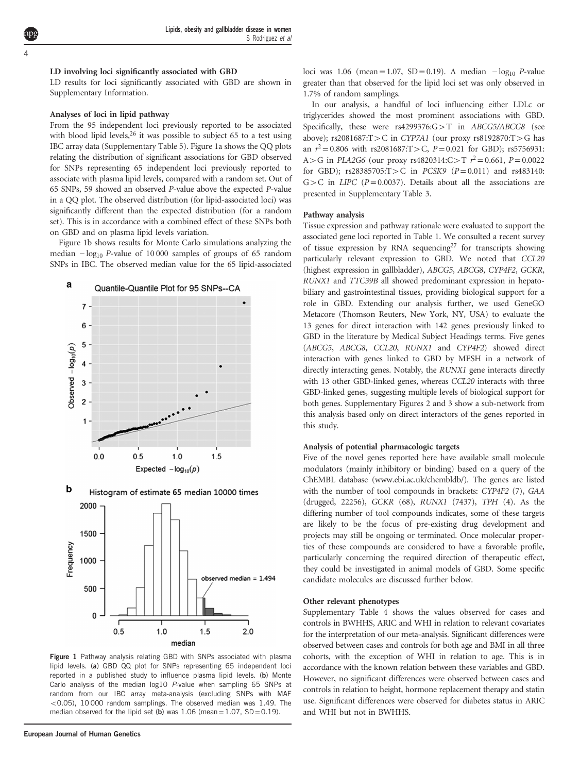#### LD involving loci significantly associated with GBD

LD results for loci significantly associated with GBD are shown in Supplementary Information.

### Analyses of loci in lipid pathway

From the 95 independent loci previously reported to be associated with blood lipid levels,  $26$  it was possible to subject 65 to a test using IBC array data (Supplementary Table 5). Figure 1a shows the QQ plots relating the distribution of significant associations for GBD observed for SNPs representing 65 independent loci previously reported to associate with plasma lipid levels, compared with a random set. Out of 65 SNPs, 59 showed an observed P-value above the expected P-value in a QQ plot. The observed distribution (for lipid-associated loci) was significantly different than the expected distribution (for a random set). This is in accordance with a combined effect of these SNPs both on GBD and on plasma lipid levels variation.

Figure 1b shows results for Monte Carlo simulations analyzing the median − log<sub>10</sub> P-value of 10 000 samples of groups of 65 random SNPs in IBC. The observed median value for the 65 lipid-associated





b Histogram of estimate 65 median 10000 times

Figure 1 Pathway analysis relating GBD with SNPs associated with plasma lipid levels. (a) GBD QQ plot for SNPs representing 65 independent loci reported in a published study to influence plasma lipid levels. (b) Monte Carlo analysis of the median log10 P-value when sampling 65 SNPs at random from our IBC array meta-analysis (excluding SNPs with MAF  $<$  0.05), 10 000 random samplings. The observed median was 1.49. The median observed for the lipid set (b) was  $1.06$  (mean =  $1.07$ , SD =  $0.19$ ).

loci was 1.06 (mean = 1.07, SD = 0.19). A median  $-\log_{10} P$ -value greater than that observed for the lipid loci set was only observed in 1.7% of random samplings.

In our analysis, a handful of loci influencing either LDLc or triglycerides showed the most prominent associations with GBD. Specifically, these were rs4299376:G > T in ABCG5/ABCG8 (see above); rs2081687:T > C in CYP7A1 (our proxy rs8192870:T > G has an  $r^2 = 0.806$  with rs2081687:T > C, P = 0.021 for GBD); rs5756931: A > G in PLA2G6 (our proxy rs4820314:C > T  $r^2 = 0.661$ , P = 0.0022 for GBD);  $rs28385705:T>C$  in *PCSK9* ( $P=0.011$ ) and  $rs483140$ : G > C in *LIPC* ( $P=0.0037$ ). Details about all the associations are presented in Supplementary Table 3.

### Pathway analysis

Tissue expression and pathway rationale were evaluated to support the associated gene loci reported in [Table 1](#page-2-0). We consulted a recent survey of tissue expression by RNA sequencing<sup>27</sup> for transcripts showing particularly relevant expression to GBD. We noted that CCL20 (highest expression in gallbladder), ABCG5, ABCG8, CYP4F2, GCKR, RUNX1 and TTC39B all showed predominant expression in hepatobiliary and gastrointestinal tissues, providing biological support for a role in GBD. Extending our analysis further, we used GeneGO Metacore (Thomson Reuters, New York, NY, USA) to evaluate the 13 genes for direct interaction with 142 genes previously linked to GBD in the literature by Medical Subject Headings terms. Five genes (ABCG5, ABCG8, CCL20, RUNX1 and CYP4F2) showed direct interaction with genes linked to GBD by MESH in a network of directly interacting genes. Notably, the RUNX1 gene interacts directly with 13 other GBD-linked genes, whereas CCL20 interacts with three GBD-linked genes, suggesting multiple levels of biological support for both genes. Supplementary Figures 2 and 3 show a sub-network from this analysis based only on direct interactors of the genes reported in this study.

### Analysis of potential pharmacologic targets

Five of the novel genes reported here have available small molecule modulators (mainly inhibitory or binding) based on a query of the ChEMBL database [\(www.ebi.ac.uk/chembldb/](www.ebi.ac.uk/chembldb/)). The genes are listed with the number of tool compounds in brackets: CYP4F2 (7), GAA (drugged, 22256), GCKR (68), RUNX1 (7437), TPH (4). As the differing number of tool compounds indicates, some of these targets are likely to be the focus of pre-existing drug development and projects may still be ongoing or terminated. Once molecular properties of these compounds are considered to have a favorable profile, particularly concerning the required direction of therapeutic effect, they could be investigated in animal models of GBD. Some specific candidate molecules are discussed further below.

#### Other relevant phenotypes

Supplementary Table 4 shows the values observed for cases and controls in BWHHS, ARIC and WHI in relation to relevant covariates for the interpretation of our meta-analysis. Significant differences were observed between cases and controls for both age and BMI in all three cohorts, with the exception of WHI in relation to age. This is in accordance with the known relation between these variables and GBD. However, no significant differences were observed between cases and controls in relation to height, hormone replacement therapy and statin use. Significant differences were observed for diabetes status in ARIC and WHI but not in BWHHS.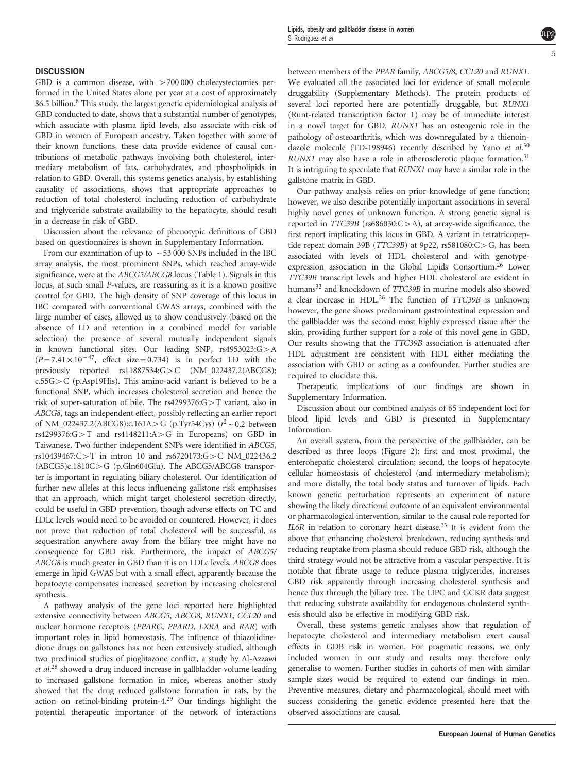# **DISCUSSION**

GBD is a common disease, with  $>700 000$  cholecystectomies performed in the United States alone per year at a cost of approximately \$6.5 billion.<sup>6</sup> This study, the largest genetic epidemiological analysis of GBD conducted to date, shows that a substantial number of genotypes, which associate with plasma lipid levels, also associate with risk of GBD in women of European ancestry. Taken together with some of their known functions, these data provide evidence of causal contributions of metabolic pathways involving both cholesterol, intermediary metabolism of fats, carbohydrates, and phospholipids in relation to GBD. Overall, this systems genetics analysis, by establishing causality of associations, shows that appropriate approaches to reduction of total cholesterol including reduction of carbohydrate and triglyceride substrate availability to the hepatocyte, should result in a decrease in risk of GBD.

Discussion about the relevance of phenotypic definitions of GBD based on questionnaires is shown in Supplementary Information.

From our examination of up to  $\sim$  53 000 SNPs included in the IBC array analysis, the most prominent SNPs, which reached array-wide significance, were at the ABCG5/ABCG8 locus [\(Table 1](#page-2-0)). Signals in this locus, at such small P-values, are reassuring as it is a known positive control for GBD. The high density of SNP coverage of this locus in IBC compared with conventional GWAS arrays, combined with the large number of cases, allowed us to show conclusively (based on the absence of LD and retention in a combined model for variable selection) the presence of several mutually independent signals in known functional sites. Our leading SNP, rs4953023:G > A large number of cases, allowed us to show conclusively (based on the absence of LD and retention in a combined model for variable selection) the presence of several mutually independent signals in known functional sites. previously reported  $rs11887534:G>C$  (NM\_022437.2(ABCG8):  $c.55G>C$  (p.Asp19His). This amino-acid variant is believed to be a functional SNP, which increases cholesterol secretion and hence the risk of super-saturation of bile. The rs4299376: $G > T$  variant, also in ABCG8, tags an independent effect, possibly reflecting an earlier report of NM\_022437.2(ABCG8):c.161A > G (p.Tyr54Cys) ( $r^2 \sim 0.2$  between  $rs4299376:G>T$  and  $rs4148211:A>G$  in Europeans) on GBD in Taiwanese. Two further independent SNPs were identified in ABCG5, rs10439467:C>T in intron 10 and rs6720173:G>C NM\_022436.2  $(ABCG5)c.1810C > G$  (p.Gln604Glu). The ABCG5/ABCG8 transporter is important in regulating biliary cholesterol. Our identification of further new alleles at this locus influencing gallstone risk emphasises that an approach, which might target cholesterol secretion directly, could be useful in GBD prevention, though adverse effects on TC and LDLc levels would need to be avoided or countered. However, it does not prove that reduction of total cholesterol will be successful, as sequestration anywhere away from the biliary tree might have no consequence for GBD risk. Furthermore, the impact of ABCG5/ ABCG8 is much greater in GBD than it is on LDLc levels. ABCG8 does emerge in lipid GWAS but with a small effect, apparently because the hepatocyte compensates increased secretion by increasing cholesterol synthesis.

A pathway analysis of the gene loci reported here highlighted extensive connectivity between ABCG5, ABCG8, RUNX1, CCL20 and nuclear hormone receptors (PPARG, PPARD, LXRA and RAR) with important roles in lipid homeostasis. The influence of thiazolidinedione drugs on gallstones has not been extensively studied, although two preclinical studies of pioglitazone conflict, a study by Al-Azzawi et al.<sup>28</sup> showed a drug induced increase in gallbladder volume leading to increased gallstone formation in mice, whereas another study showed that the drug reduced gallstone formation in rats, by the action on retinol-binding protein-4.29 Our findings highlight the potential therapeutic importance of the network of interactions

between members of the PPAR family, ABCG5/8, CCL20 and RUNX1. We evaluated all the associated loci for evidence of small molecule druggability (Supplementary Methods). The protein products of several loci reported here are potentially druggable, but RUNX1 (Runt-related transcription factor 1) may be of immediate interest in a novel target for GBD. RUNX1 has an osteogenic role in the pathology of osteoarthritis, which was downregulated by a thienoindazole molecule (TD-198946) recently described by Yano et al.<sup>30</sup> RUNX1 may also have a role in atherosclerotic plaque formation.<sup>31</sup> It is intriguing to speculate that RUNX1 may have a similar role in the gallstone matrix in GBD.

Our pathway analysis relies on prior knowledge of gene function; however, we also describe potentially important associations in several highly novel genes of unknown function. A strong genetic signal is reported in  $TTC39B$  (rs686030:C > A), at array-wide significance, the first report implicating this locus in GBD. A variant in tetratricopeptide repeat domain 39B ( $TTC39B$ ) at 9p22, rs581080: $C > G$ , has been associated with levels of HDL cholesterol and with genotypeexpression association in the Global Lipids Consortium.26 Lower TTC39B transcript levels and higher HDL cholesterol are evident in humans<sup>32</sup> and knockdown of TTC39B in murine models also showed a clear increase in HDL.<sup>26</sup> The function of TTC39B is unknown; however, the gene shows predominant gastrointestinal expression and the gallbladder was the second most highly expressed tissue after the skin, providing further support for a role of this novel gene in GBD. Our results showing that the TTC39B association is attenuated after HDL adjustment are consistent with HDL either mediating the association with GBD or acting as a confounder. Further studies are required to elucidate this.

Therapeutic implications of our findings are shown in Supplementary Information.

Discussion about our combined analysis of 65 independent loci for blood lipid levels and GBD is presented in Supplementary Information.

An overall system, from the perspective of the gallbladder, can be described as three loops ([Figure 2\)](#page-5-0): first and most proximal, the enterohepatic cholesterol circulation; second, the loops of hepatocyte cellular homeostasis of cholesterol (and intermediary metabolism); and more distally, the total body status and turnover of lipids. Each known genetic perturbation represents an experiment of nature showing the likely directional outcome of an equivalent environmental or pharmacological intervention, similar to the causal role reported for IL6R in relation to coronary heart disease.<sup>33</sup> It is evident from the above that enhancing cholesterol breakdown, reducing synthesis and reducing reuptake from plasma should reduce GBD risk, although the third strategy would not be attractive from a vascular perspective. It is notable that fibrate usage to reduce plasma triglycerides, increases GBD risk apparently through increasing cholesterol synthesis and hence flux through the biliary tree. The LIPC and GCKR data suggest that reducing substrate availability for endogenous cholesterol synthesis should also be effective in modifying GBD risk.

Overall, these systems genetic analyses show that regulation of hepatocyte cholesterol and intermediary metabolism exert causal effects in GDB risk in women. For pragmatic reasons, we only included women in our study and results may therefore only generalise to women. Further studies in cohorts of men with similar sample sizes would be required to extend our findings in men. Preventive measures, dietary and pharmacological, should meet with success considering the genetic evidence presented here that the observed associations are causal.

5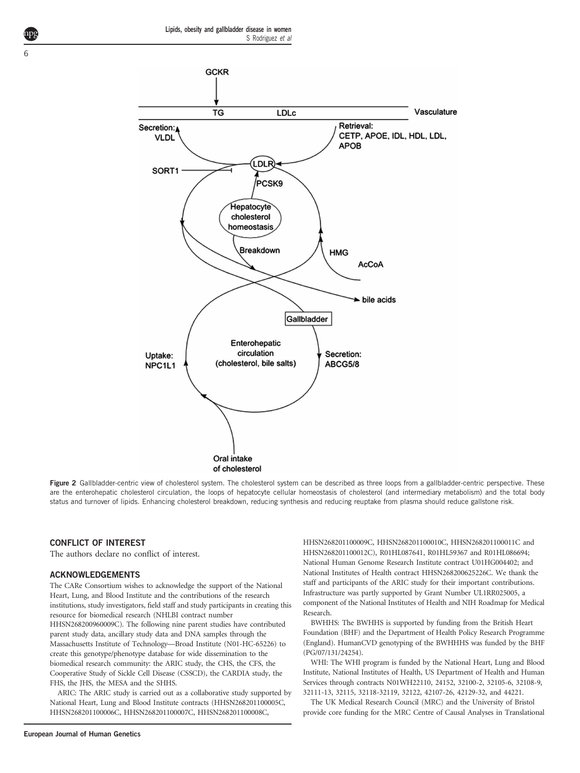<span id="page-5-0"></span>

Figure 2 Gallbladder-centric view of cholesterol system. The cholesterol system can be described as three loops from a gallbladder-centric perspective. These are the enterohepatic cholesterol circulation, the loops of hepatocyte cellular homeostasis of cholesterol (and intermediary metabolism) and the total body status and turnover of lipids. Enhancing cholesterol breakdown, reducing synthesis and reducing reuptake from plasma should reduce gallstone risk.

# CONFLICT OF INTEREST

The authors declare no conflict of interest.

### ACKNOWLEDGEMENTS

The CARe Consortium wishes to acknowledge the support of the National Heart, Lung, and Blood Institute and the contributions of the research institutions, study investigators, field staff and study participants in creating this resource for biomedical research (NHLBI contract number HHSN268200960009C). The following nine parent studies have contributed parent study data, ancillary study data and DNA samples through the Massachusetts Institute of Technology—Broad Institute (N01-HC-65226) to create this genotype/phenotype database for wide dissemination to the biomedical research community: the ARIC study, the CHS, the CFS, the Cooperative Study of Sickle Cell Disease (CSSCD), the CARDIA study, the FHS, the JHS, the MESA and the SHHS.

ARIC: The ARIC study is carried out as a collaborative study supported by National Heart, Lung and Blood Institute contracts (HHSN268201100005C, HHSN268201100006C, HHSN268201100007C, HHSN268201100008C,

European Journal of Human Genetics

HHSN268201100009C, HHSN268201100010C, HHSN268201100011C and HHSN268201100012C), R01HL087641, R01HL59367 and R01HL086694; National Human Genome Research Institute contract U01HG004402; and National Institutes of Health contract HHSN268200625226C. We thank the staff and participants of the ARIC study for their important contributions. Infrastructure was partly supported by Grant Number UL1RR025005, a component of the National Institutes of Health and NIH Roadmap for Medical Research.

BWHHS: The BWHHS is supported by funding from the British Heart Foundation (BHF) and the Department of Health Policy Research Programme (England). HumanCVD genotyping of the BWHHHS was funded by the BHF (PG/07/131/24254).

WHI: The WHI program is funded by the National Heart, Lung and Blood Institute, National Institutes of Health, US Department of Health and Human Services through contracts N01WH22110, 24152, 32100-2, 32105-6, 32108-9, 32111-13, 32115, 32118-32119, 32122, 42107-26, 42129-32, and 44221.

The UK Medical Research Council (MRC) and the University of Bristol provide core funding for the MRC Centre of Causal Analyses in Translational